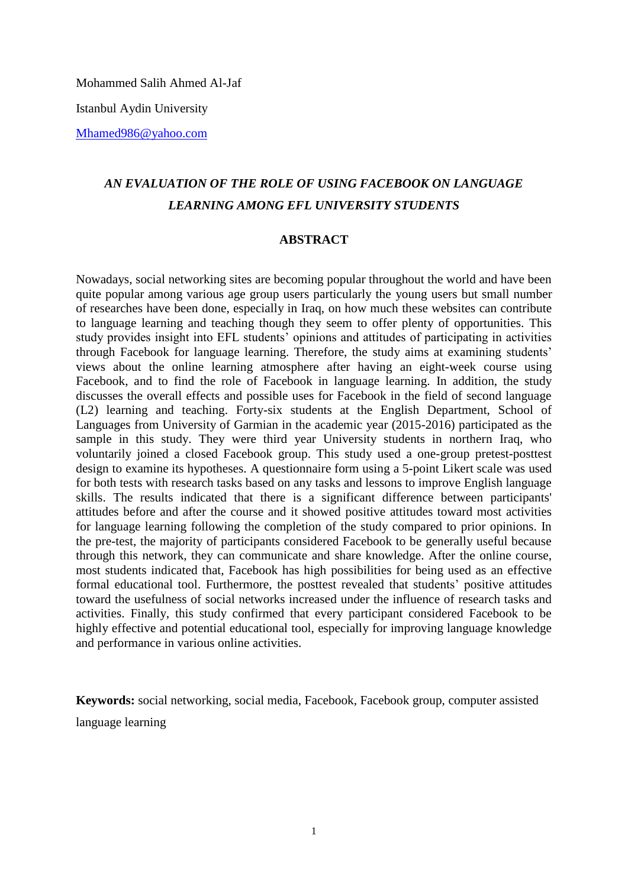Mohammed Salih Ahmed Al-Jaf

Istanbul Aydin University

[Mhamed986@yahoo.com](mailto:Mhamed986@yahoo.com)

# *AN EVALUATION OF THE ROLE OF USING FACEBOOK ON LANGUAGE LEARNING AMONG EFL UNIVERSITY STUDENTS*

# **ABSTRACT**

Nowadays, social networking sites are becoming popular throughout the world and have been quite popular among various age group users particularly the young users but small number of researches have been done, especially in Iraq, on how much these websites can contribute to language learning and teaching though they seem to offer plenty of opportunities. This study provides insight into EFL students' opinions and attitudes of participating in activities through Facebook for language learning. Therefore, the study aims at examining students' views about the online learning atmosphere after having an eight-week course using Facebook, and to find the role of Facebook in language learning. In addition, the study discusses the overall effects and possible uses for Facebook in the field of second language (L2) learning and teaching. Forty-six students at the English Department, School of Languages from University of Garmian in the academic year (2015-2016) participated as the sample in this study. They were third year University students in northern Iraq, who voluntarily joined a closed Facebook group. This study used a one-group pretest-posttest design to examine its hypotheses. A questionnaire form using a 5-point Likert scale was used for both tests with research tasks based on any tasks and lessons to improve English language skills. The results indicated that there is a significant difference between participants' attitudes before and after the course and it showed positive attitudes toward most activities for language learning following the completion of the study compared to prior opinions. In the pre-test, the majority of participants considered Facebook to be generally useful because through this network, they can communicate and share knowledge. After the online course, most students indicated that, Facebook has high possibilities for being used as an effective formal educational tool. Furthermore, the posttest revealed that students' positive attitudes toward the usefulness of social networks increased under the influence of research tasks and activities. Finally, this study confirmed that every participant considered Facebook to be highly effective and potential educational tool, especially for improving language knowledge and performance in various online activities.

**Keywords:** social networking, social media, Facebook, Facebook group, computer assisted language learning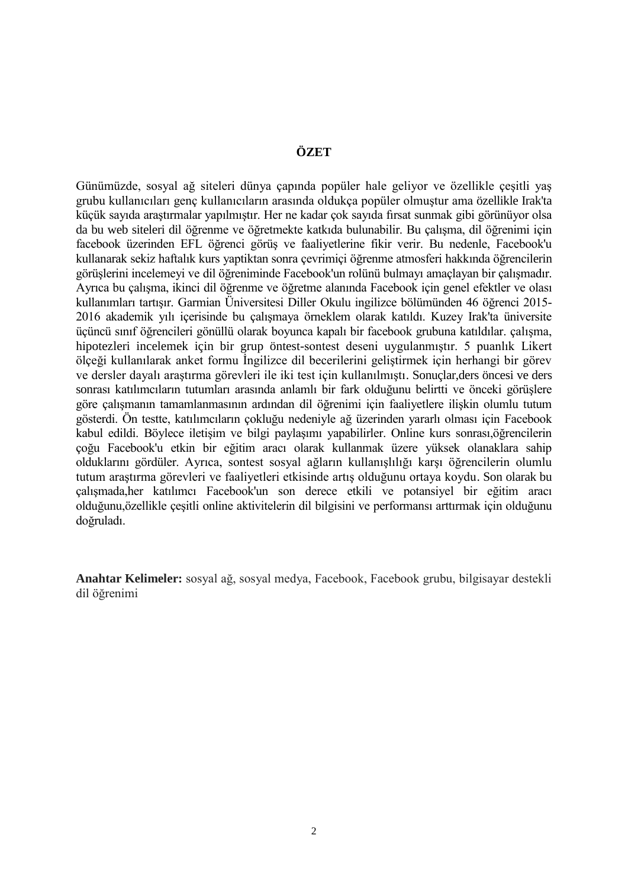# **ÖZET**

Günümüzde, sosyal ağ siteleri dünya çapında popüler hale geliyor ve özellikle çeşitli yaş grubu kullanıcıları genç kullanıcıların arasında oldukça popüler olmuştur ama özellikle Irak'ta küçük sayıda araştırmalar yapılmıştır. Her ne kadar çok sayıda fırsat sunmak gibi görünüyor olsa da bu web siteleri dil öğrenme ve öğretmekte katkıda bulunabilir. Bu çalışma, dil öğrenimi için facebook üzerinden EFL öğrenci görüş ve faaliyetlerine fikir verir. Bu nedenle, Facebook'u kullanarak sekiz haftalık kurs yaptiktan sonra çevrimiçi öğrenme atmosferi hakkında öğrencilerin görüşlerini incelemeyi ve dil öğreniminde Facebook'un rolünü bulmayı amaçlayan bir çalışmadır. Ayrıca bu çalışma, ikinci dil öğrenme ve öğretme alanında Facebook için genel efektler ve olası kullanımları tartışır. Garmian Üniversitesi Diller Okulu ingilizce bölümünden 46 öğrenci 2015- 2016 akademik yılı içerisinde bu çalışmaya örneklem olarak katıldı. Kuzey Irak'ta üniversite üçüncü sınıf öğrencileri gönüllü olarak boyunca kapalı bir facebook grubuna katıldılar. çalışma, hipotezleri incelemek için bir grup öntest-sontest deseni uygulanmıştır. 5 puanlık Likert ölçeği kullanılarak anket formu İngilizce dil becerilerini geliştirmek için herhangi bir görev ve dersler dayalı araştırma görevleri ile iki test için kullanılmıştı. Sonuçlar,ders öncesi ve ders sonrası katılımcıların tutumları arasında anlamlı bir fark olduğunu belirtti ve önceki görüşlere göre çalışmanın tamamlanmasının ardından dil öğrenimi için faaliyetlere ilişkin olumlu tutum gösterdi. Ön testte, katılımcıların çokluğu nedeniyle ağ üzerinden yararlı olması için Facebook kabul edildi. Böylece iletişim ve bilgi paylaşımı yapabilirler. Online kurs sonrası,öğrencilerin çoğu Facebook'u etkin bir eğitim aracı olarak kullanmak üzere yüksek olanaklara sahip olduklarını gördüler. Ayrıca, sontest sosyal ağların kullanışlılığı karşı öğrencilerin olumlu tutum araştırma görevleri ve faaliyetleri etkisinde artış olduğunu ortaya koydu. Son olarak bu çalışmada,her katılımcı Facebook'un son derece etkili ve potansiyel bir eğitim aracı olduğunu,özellikle çeşitli online aktivitelerin dil bilgisini ve performansı arttırmak için olduğunu doğruladı.

**Anahtar Kelimeler:** sosyal ağ, sosyal medya, Facebook, Facebook grubu, bilgisayar destekli dil öğrenimi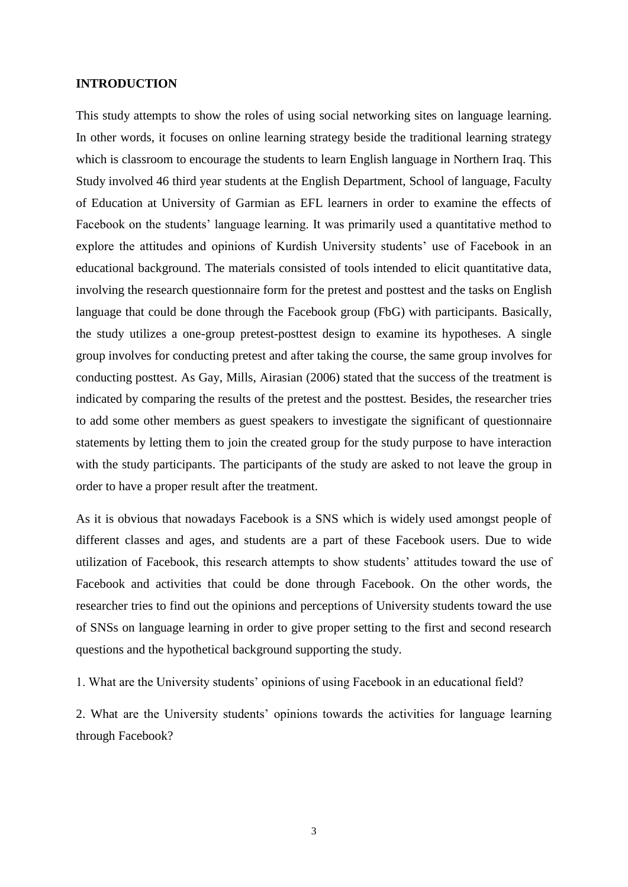## **INTRODUCTION**

This study attempts to show the roles of using social networking sites on language learning. In other words, it focuses on online learning strategy beside the traditional learning strategy which is classroom to encourage the students to learn English language in Northern Iraq. This Study involved 46 third year students at the English Department, School of language, Faculty of Education at University of Garmian as EFL learners in order to examine the effects of Facebook on the students' language learning. It was primarily used a quantitative method to explore the attitudes and opinions of Kurdish University students' use of Facebook in an educational background. The materials consisted of tools intended to elicit quantitative data, involving the research questionnaire form for the pretest and posttest and the tasks on English language that could be done through the Facebook group (FbG) with participants. Basically, the study utilizes a one-group pretest-posttest design to examine its hypotheses. A single group involves for conducting pretest and after taking the course, the same group involves for conducting posttest. As Gay, Mills, Airasian (2006) stated that the success of the treatment is indicated by comparing the results of the pretest and the posttest. Besides, the researcher tries to add some other members as guest speakers to investigate the significant of questionnaire statements by letting them to join the created group for the study purpose to have interaction with the study participants. The participants of the study are asked to not leave the group in order to have a proper result after the treatment.

As it is obvious that nowadays Facebook is a SNS which is widely used amongst people of different classes and ages, and students are a part of these Facebook users. Due to wide utilization of Facebook, this research attempts to show students' attitudes toward the use of Facebook and activities that could be done through Facebook. On the other words, the researcher tries to find out the opinions and perceptions of University students toward the use of SNSs on language learning in order to give proper setting to the first and second research questions and the hypothetical background supporting the study.

1. What are the University students' opinions of using Facebook in an educational field?

2. What are the University students' opinions towards the activities for language learning through Facebook?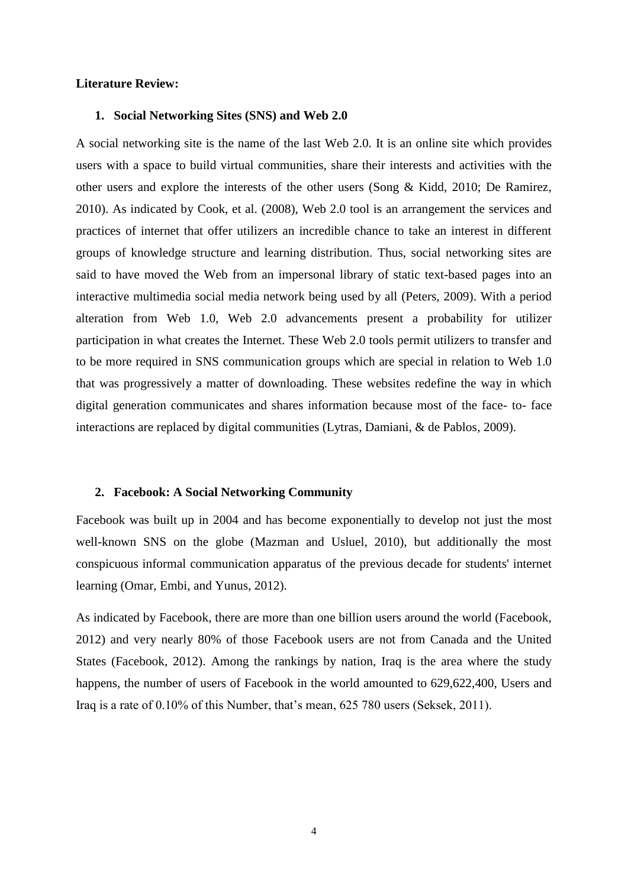## **Literature Review:**

#### **1. Social Networking Sites (SNS) and Web 2.0**

A social networking site is the name of the last Web 2.0. It is an online site which provides users with a space to build virtual communities, share their interests and activities with the other users and explore the interests of the other users (Song & Kidd, 2010; De Ramirez, 2010). As indicated by Cook, et al. (2008), Web 2.0 tool is an arrangement the services and practices of internet that offer utilizers an incredible chance to take an interest in different groups of knowledge structure and learning distribution. Thus, social networking sites are said to have moved the Web from an impersonal library of static text-based pages into an interactive multimedia social media network being used by all (Peters, 2009). With a period alteration from Web 1.0, Web 2.0 advancements present a probability for utilizer participation in what creates the Internet. These Web 2.0 tools permit utilizers to transfer and to be more required in SNS communication groups which are special in relation to Web 1.0 that was progressively a matter of downloading. These websites redefine the way in which digital generation communicates and shares information because most of the face- to- face interactions are replaced by digital communities (Lytras, Damiani, & de Pablos*,* 2009).

#### **2. Facebook: A Social Networking Community**

Facebook was built up in 2004 and has become exponentially to develop not just the most well-known SNS on the globe (Mazman and Usluel, 2010), but additionally the most conspicuous informal communication apparatus of the previous decade for students' internet learning (Omar, Embi, and Yunus, 2012).

As indicated by Facebook, there are more than one billion users around the world (Facebook, 2012) and very nearly 80% of those Facebook users are not from Canada and the United States (Facebook, 2012). Among the rankings by nation, Iraq is the area where the study happens, the number of users of Facebook in the world amounted to  $629,622,400$ , Users and Iraq is a rate of 0.10% of this Number, that's mean, 625 780 users (Seksek, 2011).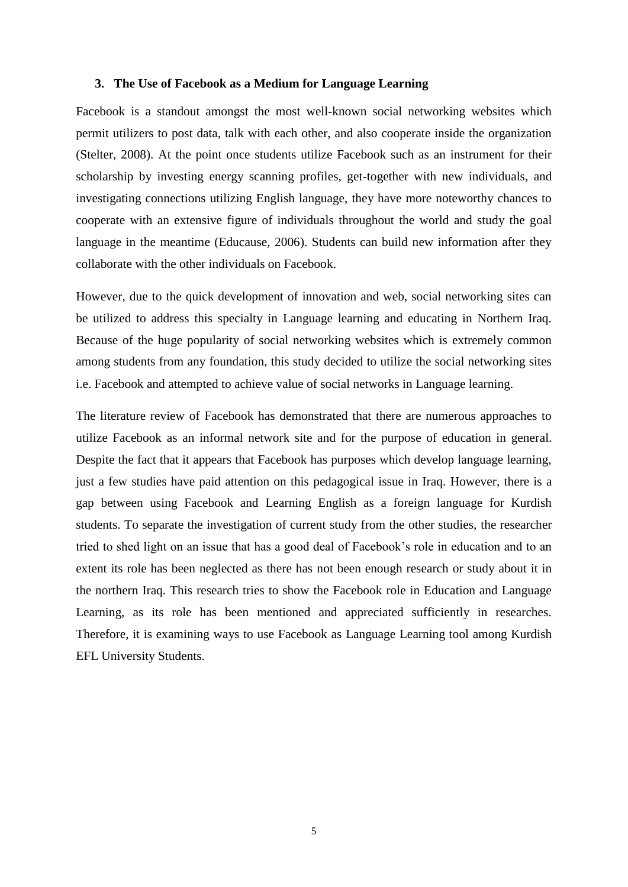## **3. The Use of Facebook as a Medium for Language Learning**

Facebook is a standout amongst the most well-known social networking websites which permit utilizers to post data, talk with each other, and also cooperate inside the organization (Stelter, 2008). At the point once students utilize Facebook such as an instrument for their scholarship by investing energy scanning profiles, get-together with new individuals, and investigating connections utilizing English language, they have more noteworthy chances to cooperate with an extensive figure of individuals throughout the world and study the goal language in the meantime (Educause, 2006). Students can build new information after they collaborate with the other individuals on Facebook.

However, due to the quick development of innovation and web, social networking sites can be utilized to address this specialty in Language learning and educating in Northern Iraq. Because of the huge popularity of social networking websites which is extremely common among students from any foundation, this study decided to utilize the social networking sites i.e. Facebook and attempted to achieve value of social networks in Language learning.

The literature review of Facebook has demonstrated that there are numerous approaches to utilize Facebook as an informal network site and for the purpose of education in general. Despite the fact that it appears that Facebook has purposes which develop language learning, just a few studies have paid attention on this pedagogical issue in Iraq. However, there is a gap between using Facebook and Learning English as a foreign language for Kurdish students. To separate the investigation of current study from the other studies, the researcher tried to shed light on an issue that has a good deal of Facebook's role in education and to an extent its role has been neglected as there has not been enough research or study about it in the northern Iraq. This research tries to show the Facebook role in Education and Language Learning, as its role has been mentioned and appreciated sufficiently in researches. Therefore, it is examining ways to use Facebook as Language Learning tool among Kurdish EFL University Students.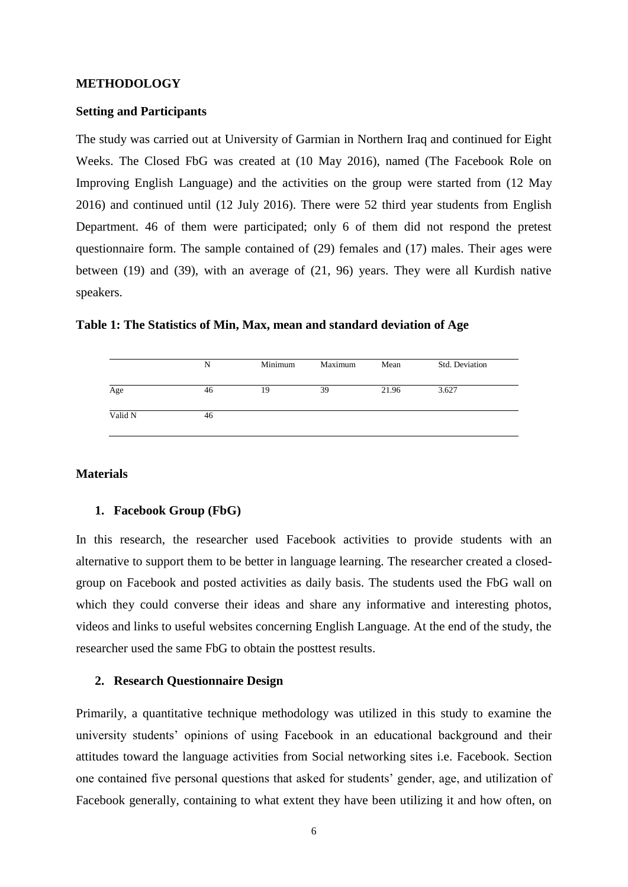#### **METHODOLOGY**

# **Setting and Participants**

The study was carried out at University of Garmian in Northern Iraq and continued for Eight Weeks. The Closed FbG was created at (10 May 2016), named (The Facebook Role on Improving English Language) and the activities on the group were started from (12 May 2016) and continued until (12 July 2016). There were 52 third year students from English Department. 46 of them were participated; only 6 of them did not respond the pretest questionnaire form. The sample contained of (29) females and (17) males. Their ages were between (19) and (39), with an average of (21, 96) years. They were all Kurdish native speakers.

| Table 1: The Statistics of Min, Max, mean and standard deviation of Age |
|-------------------------------------------------------------------------|
|-------------------------------------------------------------------------|

|         | N  | Minimum | Maximum | Mean  | Std. Deviation |
|---------|----|---------|---------|-------|----------------|
| Age     | 46 | 19      | 39      | 21.96 | 3.627          |
| Valid N | 46 |         |         |       |                |

## **Materials**

#### **1. Facebook Group (FbG)**

In this research, the researcher used Facebook activities to provide students with an alternative to support them to be better in language learning. The researcher created a closedgroup on Facebook and posted activities as daily basis. The students used the FbG wall on which they could converse their ideas and share any informative and interesting photos, videos and links to useful websites concerning English Language. At the end of the study, the researcher used the same FbG to obtain the posttest results.

## **2. Research Questionnaire Design**

Primarily, a quantitative technique methodology was utilized in this study to examine the university students' opinions of using Facebook in an educational background and their attitudes toward the language activities from Social networking sites i.e. Facebook. Section one contained five personal questions that asked for students' gender, age, and utilization of Facebook generally, containing to what extent they have been utilizing it and how often, on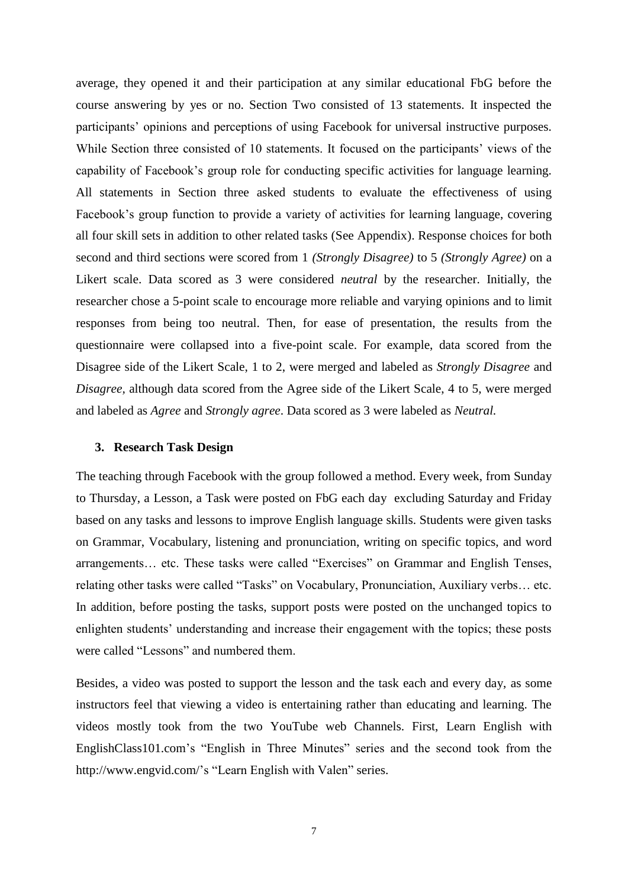average, they opened it and their participation at any similar educational FbG before the course answering by yes or no. Section Two consisted of 13 statements. It inspected the participants' opinions and perceptions of using Facebook for universal instructive purposes. While Section three consisted of 10 statements. It focused on the participants' views of the capability of Facebook's group role for conducting specific activities for language learning. All statements in Section three asked students to evaluate the effectiveness of using Facebook's group function to provide a variety of activities for learning language, covering all four skill sets in addition to other related tasks (See Appendix). Response choices for both second and third sections were scored from 1 *(Strongly Disagree)* to 5 *(Strongly Agree)* on a Likert scale. Data scored as 3 were considered *neutral* by the researcher. Initially, the researcher chose a 5-point scale to encourage more reliable and varying opinions and to limit responses from being too neutral. Then, for ease of presentation, the results from the questionnaire were collapsed into a five-point scale. For example, data scored from the Disagree side of the Likert Scale, 1 to 2, were merged and labeled as *Strongly Disagree* and *Disagree,* although data scored from the Agree side of the Likert Scale, 4 to 5, were merged and labeled as *Agree* and *Strongly agree*. Data scored as 3 were labeled as *Neutral.*

## **3. Research Task Design**

The teaching through Facebook with the group followed a method. Every week, from Sunday to Thursday, a Lesson, a Task were posted on FbG each day excluding Saturday and Friday based on any tasks and lessons to improve English language skills. Students were given tasks on Grammar, Vocabulary, listening and pronunciation, writing on specific topics, and word arrangements… etc. These tasks were called "Exercises" on Grammar and English Tenses, relating other tasks were called "Tasks" on Vocabulary, Pronunciation, Auxiliary verbs… etc. In addition, before posting the tasks, support posts were posted on the unchanged topics to enlighten students' understanding and increase their engagement with the topics; these posts were called "Lessons" and numbered them.

Besides, a video was posted to support the lesson and the task each and every day, as some instructors feel that viewing a video is entertaining rather than educating and learning. The videos mostly took from the two YouTube web Channels. First, [Learn English with](https://www.youtube.com/user/ENGLISHCLASS101)  [EnglishClass101.com'](https://www.youtube.com/user/ENGLISHCLASS101)s "English in Three Minutes" series and the second took from the [http://www.engvid.com/'](http://www.engvid.com/)s "Learn English with Valen" series.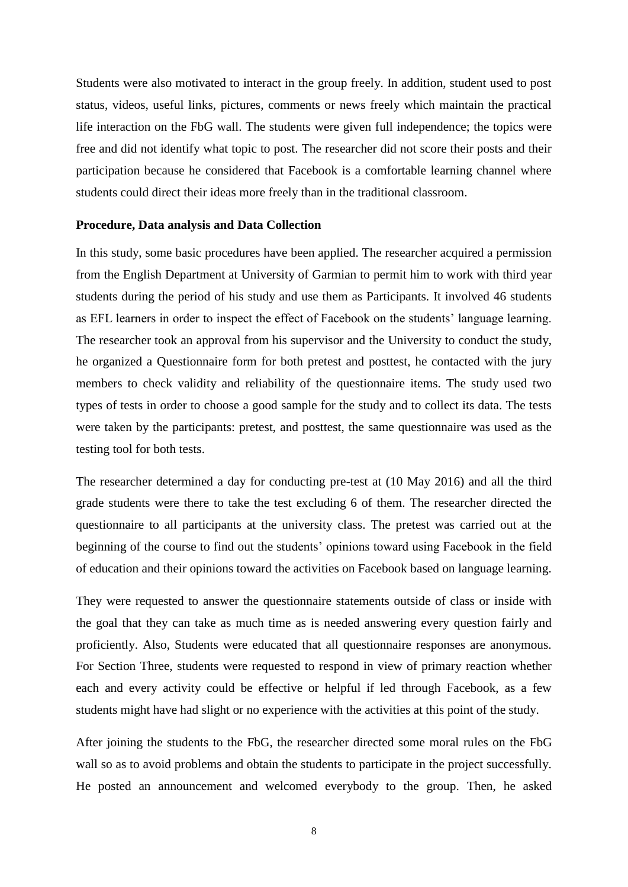Students were also motivated to interact in the group freely. In addition, student used to post status, videos, useful links, pictures, comments or news freely which maintain the practical life interaction on the FbG wall. The students were given full independence; the topics were free and did not identify what topic to post. The researcher did not score their posts and their participation because he considered that Facebook is a comfortable learning channel where students could direct their ideas more freely than in the traditional classroom.

#### **Procedure, Data analysis and Data Collection**

In this study, some basic procedures have been applied. The researcher acquired a permission from the English Department at University of Garmian to permit him to work with third year students during the period of his study and use them as Participants. It involved 46 students as EFL learners in order to inspect the effect of Facebook on the students' language learning. The researcher took an approval from his supervisor and the University to conduct the study, he organized a Questionnaire form for both pretest and posttest, he contacted with the jury members to check validity and reliability of the questionnaire items. The study used two types of tests in order to choose a good sample for the study and to collect its data. The tests were taken by the participants: pretest, and posttest, the same questionnaire was used as the testing tool for both tests.

The researcher determined a day for conducting pre-test at (10 May 2016) and all the third grade students were there to take the test excluding 6 of them. The researcher directed the questionnaire to all participants at the university class. The pretest was carried out at the beginning of the course to find out the students' opinions toward using Facebook in the field of education and their opinions toward the activities on Facebook based on language learning.

They were requested to answer the questionnaire statements outside of class or inside with the goal that they can take as much time as is needed answering every question fairly and proficiently. Also, Students were educated that all questionnaire responses are anonymous. For Section Three, students were requested to respond in view of primary reaction whether each and every activity could be effective or helpful if led through Facebook, as a few students might have had slight or no experience with the activities at this point of the study.

After joining the students to the FbG, the researcher directed some moral rules on the FbG wall so as to avoid problems and obtain the students to participate in the project successfully. He posted an announcement and welcomed everybody to the group. Then, he asked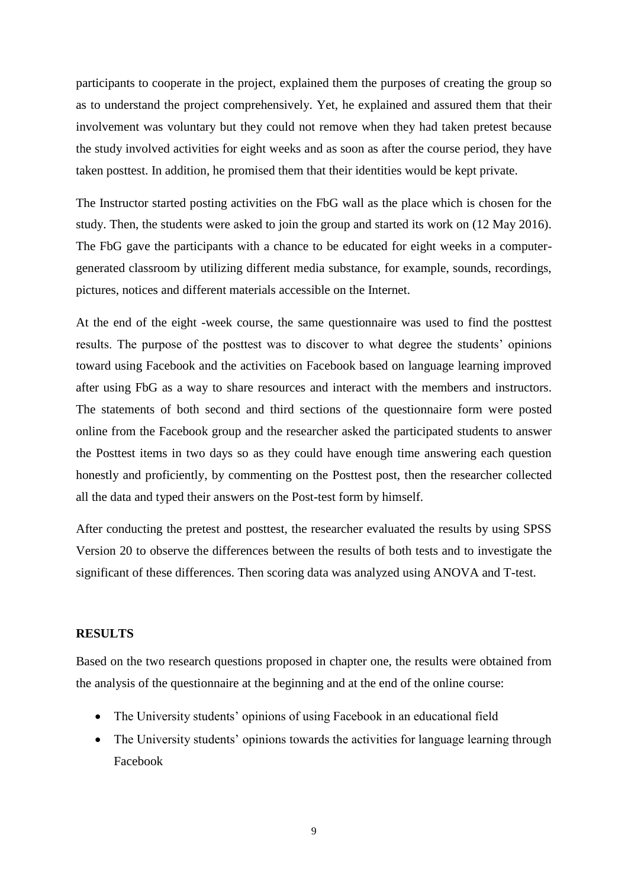participants to cooperate in the project, explained them the purposes of creating the group so as to understand the project comprehensively. Yet, he explained and assured them that their involvement was voluntary but they could not remove when they had taken pretest because the study involved activities for eight weeks and as soon as after the course period, they have taken posttest. In addition, he promised them that their identities would be kept private.

The Instructor started posting activities on the FbG wall as the place which is chosen for the study. Then, the students were asked to join the group and started its work on (12 May 2016). The FbG gave the participants with a chance to be educated for eight weeks in a computergenerated classroom by utilizing different media substance, for example, sounds, recordings, pictures, notices and different materials accessible on the Internet.

At the end of the eight -week course, the same questionnaire was used to find the posttest results. The purpose of the posttest was to discover to what degree the students' opinions toward using Facebook and the activities on Facebook based on language learning improved after using FbG as a way to share resources and interact with the members and instructors. The statements of both second and third sections of the questionnaire form were posted online from the Facebook group and the researcher asked the participated students to answer the Posttest items in two days so as they could have enough time answering each question honestly and proficiently, by commenting on the Posttest post, then the researcher collected all the data and typed their answers on the Post-test form by himself.

After conducting the pretest and posttest, the researcher evaluated the results by using SPSS Version 20 to observe the differences between the results of both tests and to investigate the significant of these differences. Then scoring data was analyzed using ANOVA and T-test.

## **RESULTS**

Based on the two research questions proposed in chapter one, the results were obtained from the analysis of the questionnaire at the beginning and at the end of the online course:

- The University students' opinions of using Facebook in an educational field
- The University students' opinions towards the activities for language learning through Facebook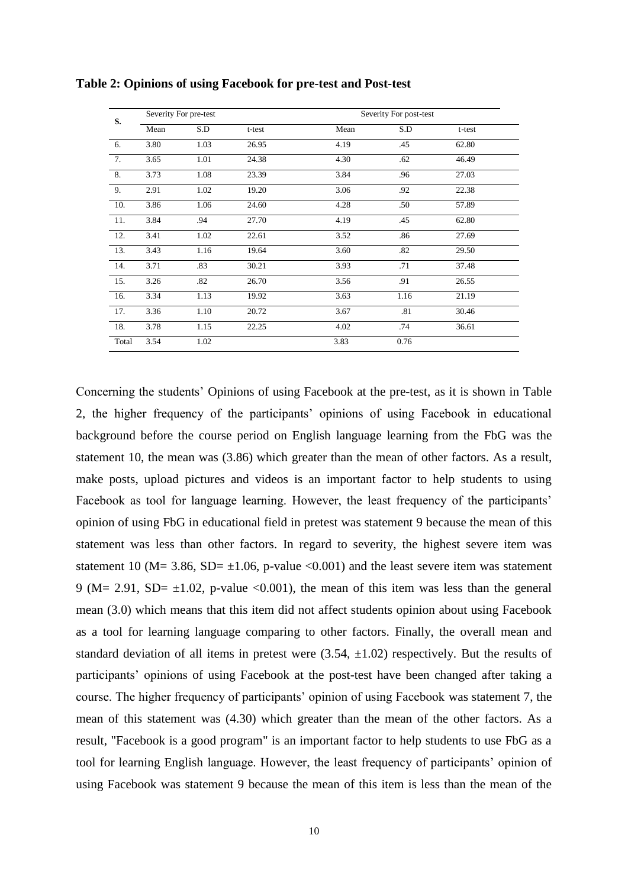| S.    |      | Severity For pre-test |        |      | Severity For post-test |        |  |
|-------|------|-----------------------|--------|------|------------------------|--------|--|
|       | Mean | S.D                   | t-test | Mean | S.D                    | t-test |  |
| 6.    | 3.80 | 1.03                  | 26.95  | 4.19 | .45                    | 62.80  |  |
| 7.    | 3.65 | 1.01                  | 24.38  | 4.30 | .62                    | 46.49  |  |
| 8.    | 3.73 | 1.08                  | 23.39  | 3.84 | .96                    | 27.03  |  |
| 9.    | 2.91 | 1.02                  | 19.20  | 3.06 | .92                    | 22.38  |  |
| 10.   | 3.86 | 1.06                  | 24.60  | 4.28 | .50                    | 57.89  |  |
| 11.   | 3.84 | .94                   | 27.70  | 4.19 | .45                    | 62.80  |  |
| 12.   | 3.41 | 1.02                  | 22.61  | 3.52 | .86                    | 27.69  |  |
| 13.   | 3.43 | 1.16                  | 19.64  | 3.60 | .82                    | 29.50  |  |
| 14.   | 3.71 | .83                   | 30.21  | 3.93 | .71                    | 37.48  |  |
| 15.   | 3.26 | .82                   | 26.70  | 3.56 | .91                    | 26.55  |  |
| 16.   | 3.34 | 1.13                  | 19.92  | 3.63 | 1.16                   | 21.19  |  |
| 17.   | 3.36 | 1.10                  | 20.72  | 3.67 | .81                    | 30.46  |  |
| 18.   | 3.78 | 1.15                  | 22.25  | 4.02 | .74                    | 36.61  |  |
| Total | 3.54 | 1.02                  |        | 3.83 | 0.76                   |        |  |

**Table 2: Opinions of using Facebook for pre-test and Post-test**

Concerning the students' Opinions of using Facebook at the pre-test, as it is shown in Table 2, the higher frequency of the participants' opinions of using Facebook in educational background before the course period on English language learning from the FbG was the statement 10, the mean was (3.86) which greater than the mean of other factors. As a result, make posts, upload pictures and videos is an important factor to help students to using Facebook as tool for language learning. However, the least frequency of the participants' opinion of using FbG in educational field in pretest was statement 9 because the mean of this statement was less than other factors. In regard to severity, the highest severe item was statement 10 (M= 3.86, SD=  $\pm$ 1.06, p-value <0.001) and the least severe item was statement 9 (M= 2.91, SD=  $\pm$ 1.02, p-value <0.001), the mean of this item was less than the general mean (3.0) which means that this item did not affect students opinion about using Facebook as a tool for learning language comparing to other factors. Finally, the overall mean and standard deviation of all items in pretest were  $(3.54, \pm 1.02)$  respectively. But the results of participants' opinions of using Facebook at the post-test have been changed after taking a course. The higher frequency of participants' opinion of using Facebook was statement 7, the mean of this statement was (4.30) which greater than the mean of the other factors. As a result, "Facebook is a good program" is an important factor to help students to use FbG as a tool for learning English language. However, the least frequency of participants' opinion of using Facebook was statement 9 because the mean of this item is less than the mean of the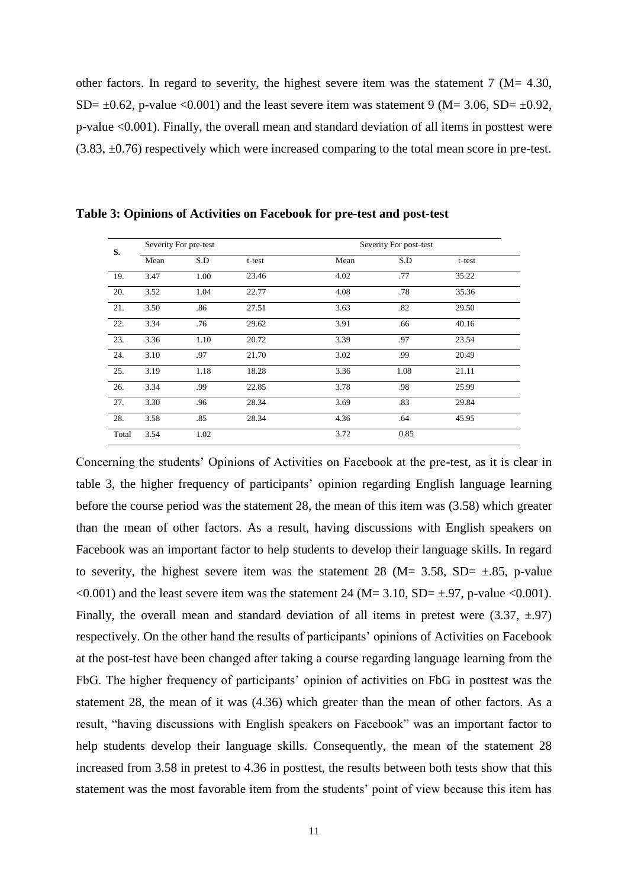other factors. In regard to severity, the highest severe item was the statement  $7 \, (M = 4.30,$ SD=  $\pm$ 0.62, p-value <0.001) and the least severe item was statement 9 (M= 3.06, SD=  $\pm$ 0.92, p-value <0.001). Finally, the overall mean and standard deviation of all items in posttest were (3.83, ±0.76) respectively which were increased comparing to the total mean score in pre-test.

| S.    | Severity For pre-test |      |        |      | Severity For post-test |        |  |
|-------|-----------------------|------|--------|------|------------------------|--------|--|
|       | Mean                  | S.D  | t-test | Mean | S.D                    | t-test |  |
| 19.   | 3.47                  | 1.00 | 23.46  | 4.02 | .77                    | 35.22  |  |
| 20.   | 3.52                  | 1.04 | 22.77  | 4.08 | .78                    | 35.36  |  |
| 21.   | 3.50                  | .86  | 27.51  | 3.63 | .82                    | 29.50  |  |
| 22.   | 3.34                  | .76  | 29.62  | 3.91 | .66                    | 40.16  |  |
| 23.   | 3.36                  | 1.10 | 20.72  | 3.39 | .97                    | 23.54  |  |
| 24.   | 3.10                  | .97  | 21.70  | 3.02 | .99                    | 20.49  |  |
| 25.   | 3.19                  | 1.18 | 18.28  | 3.36 | 1.08                   | 21.11  |  |
| 26.   | 3.34                  | .99  | 22.85  | 3.78 | .98                    | 25.99  |  |
| 27.   | 3.30                  | .96  | 28.34  | 3.69 | .83                    | 29.84  |  |
| 28.   | 3.58                  | .85  | 28.34  | 4.36 | .64                    | 45.95  |  |
| Total | 3.54                  | 1.02 |        | 3.72 | 0.85                   |        |  |

**Table 3: Opinions of Activities on Facebook for pre-test and post-test**

Concerning the students' Opinions of Activities on Facebook at the pre-test, as it is clear in table 3, the higher frequency of participants' opinion regarding English language learning before the course period was the statement 28, the mean of this item was (3.58) which greater than the mean of other factors. As a result, having discussions with English speakers on Facebook was an important factor to help students to develop their language skills. In regard to severity, the highest severe item was the statement 28 (M= 3.58, SD=  $\pm$ .85, p-value  $\leq 0.001$ ) and the least severe item was the statement 24 (M= 3.10, SD=  $\pm$ .97, p-value  $\leq 0.001$ ). Finally, the overall mean and standard deviation of all items in pretest were  $(3.37, \pm .97)$ respectively. On the other hand the results of participants' opinions of Activities on Facebook at the post-test have been changed after taking a course regarding language learning from the FbG. The higher frequency of participants' opinion of activities on FbG in posttest was the statement 28, the mean of it was (4.36) which greater than the mean of other factors. As a result, "having discussions with English speakers on Facebook" was an important factor to help students develop their language skills. Consequently, the mean of the statement 28 increased from 3.58 in pretest to 4.36 in posttest, the results between both tests show that this statement was the most favorable item from the students' point of view because this item has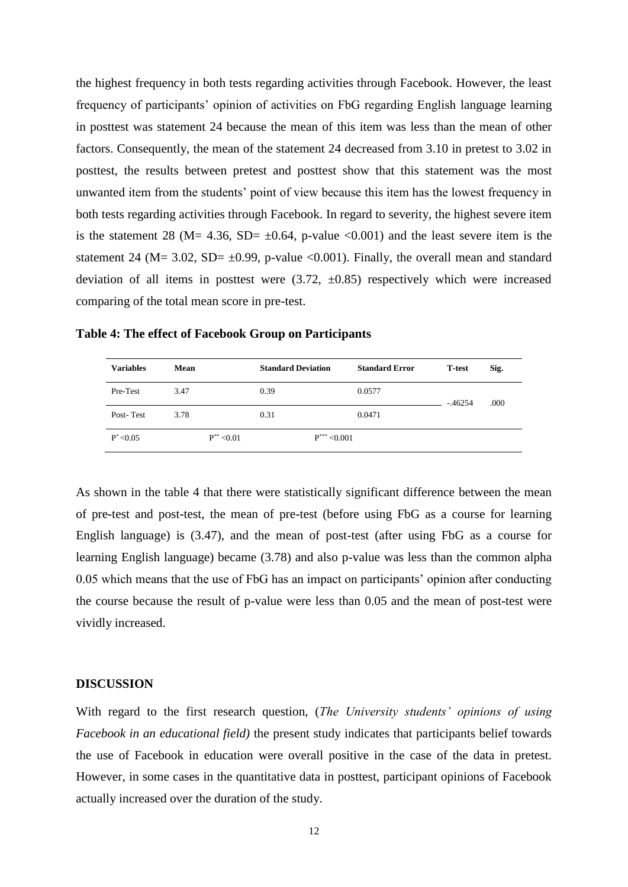the highest frequency in both tests regarding activities through Facebook. However, the least frequency of participants' opinion of activities on FbG regarding English language learning in posttest was statement 24 because the mean of this item was less than the mean of other factors. Consequently, the mean of the statement 24 decreased from 3.10 in pretest to 3.02 in posttest, the results between pretest and posttest show that this statement was the most unwanted item from the students' point of view because this item has the lowest frequency in both tests regarding activities through Facebook. In regard to severity, the highest severe item is the statement 28 (M= 4.36, SD=  $\pm$ 0.64, p-value <0.001) and the least severe item is the statement 24 ( $M = 3.02$ ,  $SD = \pm 0.99$ , p-value <0.001). Finally, the overall mean and standard deviation of all items in posttest were  $(3.72, \pm 0.85)$  respectively which were increased comparing of the total mean score in pre-test.

| <b>Variables</b> | Mean            | <b>Standard Deviation</b> | <b>Standard Error</b> | <b>T-test</b> | Sig. |
|------------------|-----------------|---------------------------|-----------------------|---------------|------|
| Pre-Test         | 3.47            | 0.39                      | 0.0577                | $-46254$      | .000 |
| Post-Test        | 3.78            | 0.31                      | 0.0471                |               |      |
| $P^* < 0.05$     | $P^{**}$ < 0.01 | $P^{***}$ < 0.001         |                       |               |      |

**Table 4: The effect of Facebook Group on Participants**

As shown in the table 4 that there were statistically significant difference between the mean of pre-test and post-test, the mean of pre-test (before using FbG as a course for learning English language) is (3.47), and the mean of post-test (after using FbG as a course for learning English language) became (3.78) and also p-value was less than the common alpha 0.05 which means that the use of FbG has an impact on participants' opinion after conducting the course because the result of p-value were less than 0.05 and the mean of post-test were vividly increased.

#### **DISCUSSION**

With regard to the first research question, (*The University students' opinions of using Facebook in an educational field)* the present study indicates that participants belief towards the use of Facebook in education were overall positive in the case of the data in pretest. However, in some cases in the quantitative data in posttest, participant opinions of Facebook actually increased over the duration of the study.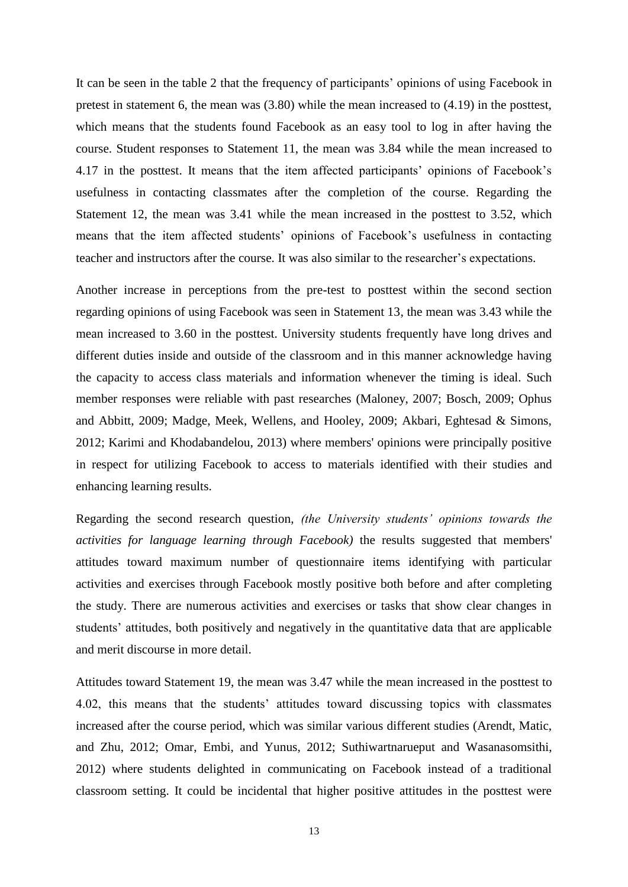It can be seen in the table 2 that the frequency of participants' opinions of using Facebook in pretest in statement 6, the mean was (3.80) while the mean increased to (4.19) in the posttest, which means that the students found Facebook as an easy tool to log in after having the course. Student responses to Statement 11, the mean was 3.84 while the mean increased to 4.17 in the posttest. It means that the item affected participants' opinions of Facebook's usefulness in contacting classmates after the completion of the course. Regarding the Statement 12, the mean was 3.41 while the mean increased in the posttest to 3.52, which means that the item affected students' opinions of Facebook's usefulness in contacting teacher and instructors after the course. It was also similar to the researcher's expectations.

Another increase in perceptions from the pre-test to posttest within the second section regarding opinions of using Facebook was seen in Statement 13, the mean was 3.43 while the mean increased to 3.60 in the posttest. University students frequently have long drives and different duties inside and outside of the classroom and in this manner acknowledge having the capacity to access class materials and information whenever the timing is ideal. Such member responses were reliable with past researches (Maloney, 2007; Bosch, 2009; Ophus and Abbitt, 2009; Madge, Meek, Wellens, and Hooley, 2009; Akbari, Eghtesad & Simons, 2012; Karimi and Khodabandelou, 2013) where members' opinions were principally positive in respect for utilizing Facebook to access to materials identified with their studies and enhancing learning results.

Regarding the second research question, *(the University students' opinions towards the activities for language learning through Facebook)* the results suggested that members' attitudes toward maximum number of questionnaire items identifying with particular activities and exercises through Facebook mostly positive both before and after completing the study. There are numerous activities and exercises or tasks that show clear changes in students' attitudes, both positively and negatively in the quantitative data that are applicable and merit discourse in more detail.

Attitudes toward Statement 19, the mean was 3.47 while the mean increased in the posttest to 4.02, this means that the students' attitudes toward discussing topics with classmates increased after the course period, which was similar various different studies (Arendt, Matic, and Zhu, 2012; Omar, Embi, and Yunus, 2012; Suthiwartnarueput and Wasanasomsithi, 2012) where students delighted in communicating on Facebook instead of a traditional classroom setting. It could be incidental that higher positive attitudes in the posttest were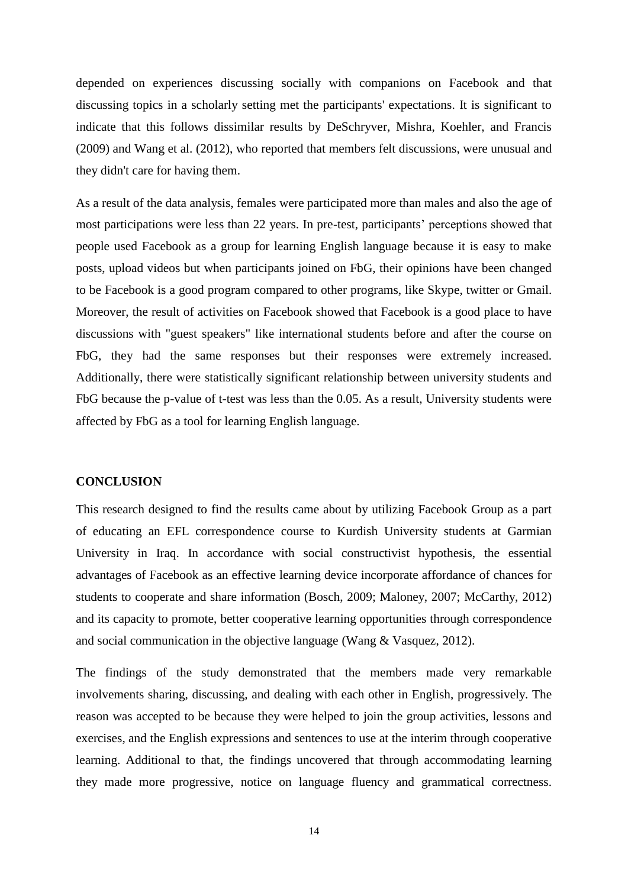depended on experiences discussing socially with companions on Facebook and that discussing topics in a scholarly setting met the participants' expectations. It is significant to indicate that this follows dissimilar results by DeSchryver, Mishra, Koehler, and Francis (2009) and Wang et al. (2012), who reported that members felt discussions, were unusual and they didn't care for having them.

As a result of the data analysis, females were participated more than males and also the age of most participations were less than 22 years. In pre-test, participants' perceptions showed that people used Facebook as a group for learning English language because it is easy to make posts, upload videos but when participants joined on FbG, their opinions have been changed to be Facebook is a good program compared to other programs, like Skype, twitter or Gmail. Moreover, the result of activities on Facebook showed that Facebook is a good place to have discussions with "guest speakers" like international students before and after the course on FbG, they had the same responses but their responses were extremely increased. Additionally, there were statistically significant relationship between university students and FbG because the p-value of t-test was less than the 0.05. As a result, University students were affected by FbG as a tool for learning English language.

# **CONCLUSION**

This research designed to find the results came about by utilizing Facebook Group as a part of educating an EFL correspondence course to Kurdish University students at Garmian University in Iraq. In accordance with social constructivist hypothesis, the essential advantages of Facebook as an effective learning device incorporate affordance of chances for students to cooperate and share information (Bosch, 2009; Maloney, 2007; McCarthy, 2012) and its capacity to promote, better cooperative learning opportunities through correspondence and social communication in the objective language (Wang & Vasquez, 2012).

The findings of the study demonstrated that the members made very remarkable involvements sharing, discussing, and dealing with each other in English, progressively. The reason was accepted to be because they were helped to join the group activities, lessons and exercises, and the English expressions and sentences to use at the interim through cooperative learning. Additional to that, the findings uncovered that through accommodating learning they made more progressive, notice on language fluency and grammatical correctness.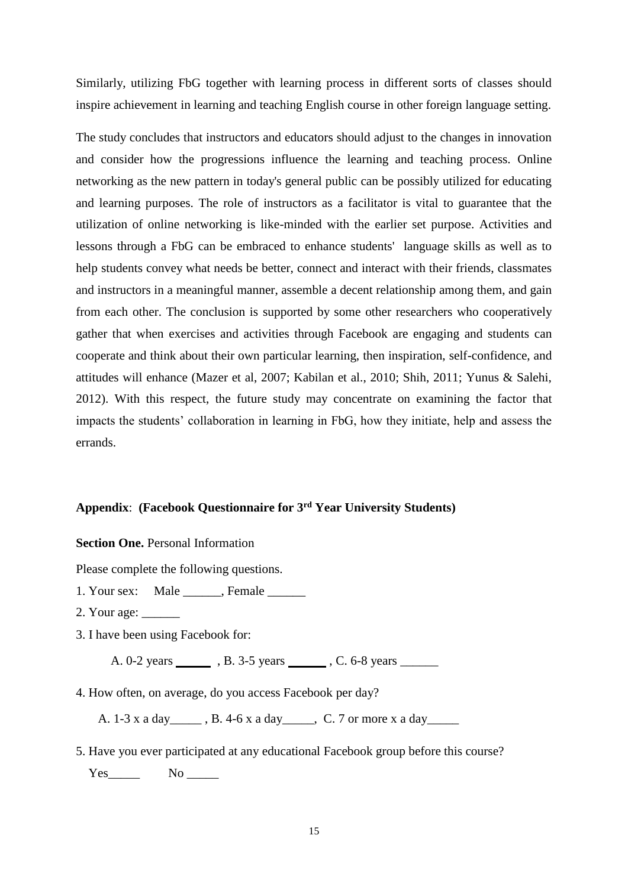Similarly, utilizing FbG together with learning process in different sorts of classes should inspire achievement in learning and teaching English course in other foreign language setting.

The study concludes that instructors and educators should adjust to the changes in innovation and consider how the progressions influence the learning and teaching process. Online networking as the new pattern in today's general public can be possibly utilized for educating and learning purposes. The role of instructors as a facilitator is vital to guarantee that the utilization of online networking is like-minded with the earlier set purpose. Activities and lessons through a FbG can be embraced to enhance students' language skills as well as to help students convey what needs be better, connect and interact with their friends, classmates and instructors in a meaningful manner, assemble a decent relationship among them, and gain from each other. The conclusion is supported by some other researchers who cooperatively gather that when exercises and activities through Facebook are engaging and students can cooperate and think about their own particular learning, then inspiration, self-confidence, and attitudes will enhance (Mazer et al, 2007; Kabilan et al., 2010; Shih, 2011; Yunus & Salehi, 2012). With this respect, the future study may concentrate on examining the factor that impacts the students' collaboration in learning in FbG, how they initiate, help and assess the errands.

# **Appendix**: **(Facebook Questionnaire for 3rd Year University Students)**

**Section One.** Personal Information

Please complete the following questions.

- 1. Your sex: Male \_\_\_\_\_\_, Female \_\_\_\_\_\_
- 2. Your age: \_\_\_\_\_\_
- 3. I have been using Facebook for:

A. 0-2 years **in A. 3-5** years **compared 3. A. 0-2** years **compared 3. A. 3-5** years **compared 3. A. 3-5** years **compared 3. A.** 3-5 years **compared 3. A.** 3-5 years **compared 3. A.** 3-5 years **compared 3. A.** 3-5 years **c** 

4. How often, on average, do you access Facebook per day?

A. 1-3 x a day \_\_\_\_\_\_, B. 4-6 x a day \_\_\_\_\_, C. 7 or more x a day \_\_\_\_\_\_

5. Have you ever participated at any educational Facebook group before this course? Yes\_\_\_\_\_\_\_\_ No \_\_\_\_\_\_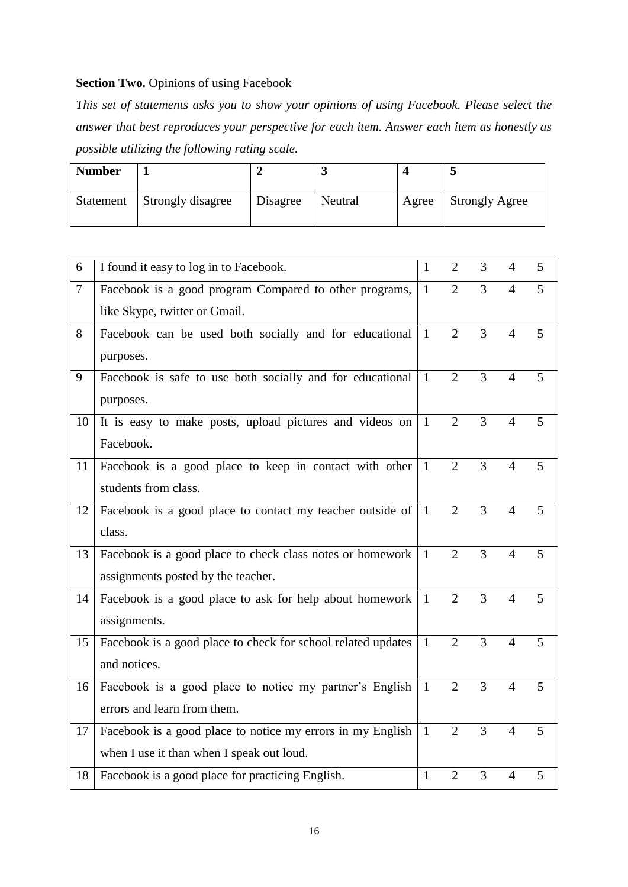# **Section Two.** Opinions of using Facebook

*This set of statements asks you to show your opinions of using Facebook. Please select the answer that best reproduces your perspective for each item. Answer each item as honestly as possible utilizing the following rating scale.*

| <b>Number</b> |                   |          |         |       | ັ                     |
|---------------|-------------------|----------|---------|-------|-----------------------|
| Statement     | Strongly disagree | Disagree | Neutral | Agree | <b>Strongly Agree</b> |

| 6      | I found it easy to log in to Facebook.                       | $\mathbf{1}$ | $\overline{2}$ | 3              | $\overline{4}$ | 5 |
|--------|--------------------------------------------------------------|--------------|----------------|----------------|----------------|---|
| $\tau$ | Facebook is a good program Compared to other programs,       | $\mathbf{1}$ | $\overline{2}$ | 3              | $\overline{4}$ | 5 |
|        | like Skype, twitter or Gmail.                                |              |                |                |                |   |
| 8      | Facebook can be used both socially and for educational       | $\mathbf{1}$ | $\overline{2}$ | 3              | $\overline{4}$ | 5 |
|        | purposes.                                                    |              |                |                |                |   |
| 9      | Facebook is safe to use both socially and for educational    | $\mathbf{1}$ | $\overline{2}$ | 3              | $\overline{4}$ | 5 |
|        | purposes.                                                    |              |                |                |                |   |
| 10     | It is easy to make posts, upload pictures and videos on      | $\mathbf{1}$ | $\overline{2}$ | 3              | $\overline{4}$ | 5 |
|        | Facebook.                                                    |              |                |                |                |   |
| 11     | Facebook is a good place to keep in contact with other       | $\mathbf{1}$ | $\overline{2}$ | 3              | $\overline{4}$ | 5 |
|        | students from class.                                         |              |                |                |                |   |
| 12     | Facebook is a good place to contact my teacher outside of    | $\mathbf{1}$ | $\overline{2}$ | 3              | $\overline{4}$ | 5 |
|        | class.                                                       |              |                |                |                |   |
| 13     | Facebook is a good place to check class notes or homework    | $\mathbf{1}$ | $\overline{2}$ | 3              | 4              | 5 |
|        | assignments posted by the teacher.                           |              |                |                |                |   |
| 14     | Facebook is a good place to ask for help about homework      | $\mathbf{1}$ | $\overline{2}$ | 3              | $\overline{4}$ | 5 |
|        | assignments.                                                 |              |                |                |                |   |
| 15     | Facebook is a good place to check for school related updates | $\mathbf{1}$ | $\overline{2}$ | $\overline{3}$ | $\overline{4}$ | 5 |
|        | and notices.                                                 |              |                |                |                |   |
| 16     | Facebook is a good place to notice my partner's English      | $\mathbf{1}$ | $\overline{2}$ | $\overline{3}$ | $\overline{4}$ | 5 |
|        | errors and learn from them.                                  |              |                |                |                |   |
| 17     | Facebook is a good place to notice my errors in my English   | $\mathbf{1}$ | $\overline{2}$ | $\overline{3}$ | $\overline{4}$ | 5 |
|        | when I use it than when I speak out loud.                    |              |                |                |                |   |
| 18     | Facebook is a good place for practicing English.             | $\mathbf{1}$ | $\overline{2}$ | 3              | $\overline{4}$ | 5 |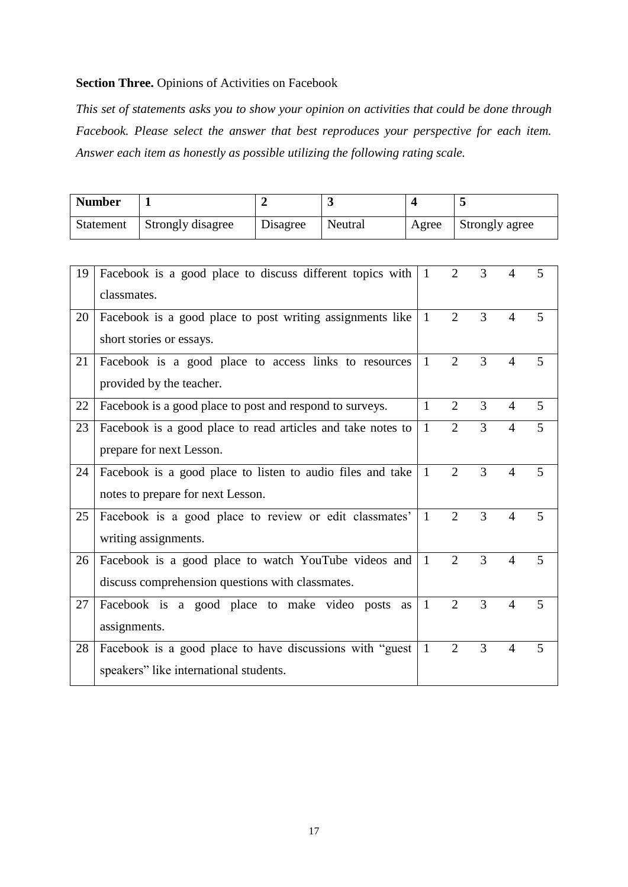# **Section Three.** Opinions of Activities on Facebook

*This set of statements asks you to show your opinion on activities that could be done through Facebook. Please select the answer that best reproduces your perspective for each item. Answer each item as honestly as possible utilizing the following rating scale.*

| <b>Number</b> |                   |          |         |       |                |
|---------------|-------------------|----------|---------|-------|----------------|
| Statement     | Strongly disagree | Disagree | Neutral | Agree | Strongly agree |

| 19 | Facebook is a good place to discuss different topics with<br>classmates. | $\mathbf{1}$ | $\overline{2}$ | 3 | 4              | 5 |
|----|--------------------------------------------------------------------------|--------------|----------------|---|----------------|---|
|    |                                                                          |              |                |   |                |   |
| 20 | Facebook is a good place to post writing assignments like                | $\mathbf{1}$ | 2              | 3 | $\overline{4}$ | 5 |
|    | short stories or essays.                                                 |              |                |   |                |   |
| 21 | Facebook is a good place to access links to resources                    | 1            | $\overline{2}$ | 3 | $\overline{4}$ | 5 |
|    | provided by the teacher.                                                 |              |                |   |                |   |
| 22 | Facebook is a good place to post and respond to surveys.                 | $\mathbf{1}$ | $\overline{2}$ | 3 | $\overline{4}$ | 5 |
| 23 | Facebook is a good place to read articles and take notes to              | $\mathbf{1}$ | $\overline{2}$ | 3 | $\overline{4}$ | 5 |
|    | prepare for next Lesson.                                                 |              |                |   |                |   |
| 24 | Facebook is a good place to listen to audio files and take               | $\mathbf{1}$ | $\overline{2}$ | 3 | $\overline{4}$ | 5 |
|    | notes to prepare for next Lesson.                                        |              |                |   |                |   |
| 25 | Facebook is a good place to review or edit classmates'                   | $\mathbf{1}$ | $\overline{2}$ | 3 | $\overline{4}$ | 5 |
|    | writing assignments.                                                     |              |                |   |                |   |
| 26 | Facebook is a good place to watch YouTube videos and                     | $\mathbf{1}$ | $\overline{2}$ | 3 | $\overline{4}$ | 5 |
|    | discuss comprehension questions with classmates.                         |              |                |   |                |   |
| 27 | Facebook is a good place to make video posts<br>as                       | $\mathbf{1}$ | $\overline{2}$ | 3 | $\overline{4}$ | 5 |
|    | assignments.                                                             |              |                |   |                |   |
| 28 | Facebook is a good place to have discussions with "guest                 | $\mathbf{1}$ | $\overline{2}$ | 3 | $\overline{4}$ | 5 |
|    | speakers" like international students.                                   |              |                |   |                |   |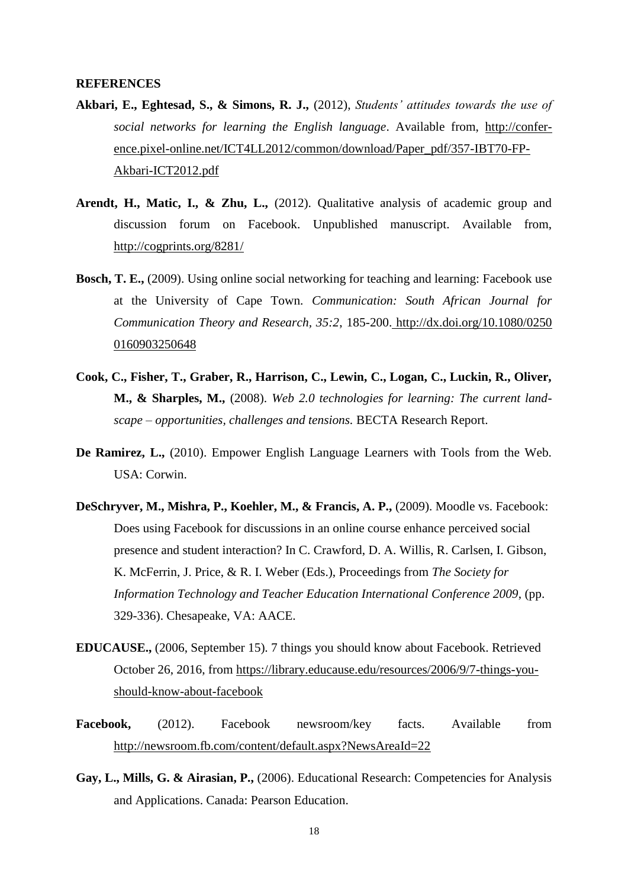#### **REFERENCES**

- **Akbari, E., Eghtesad, S., & Simons, R. J.,** (2012), *Students' attitudes towards the use of social networks for learning the English language*. Available from, [http://confer](http://conference.pixel-online.net/ICT4LL2012/common/download/Paper_pdf/357-IBT70-FP-Akbari-ICT2012.pdf)[ence.pixel-online.net/ICT4LL2012/common/download/Paper\\_pdf/357-IBT70-FP-](http://conference.pixel-online.net/ICT4LL2012/common/download/Paper_pdf/357-IBT70-FP-Akbari-ICT2012.pdf)[Akbari-ICT2012.pdf](http://conference.pixel-online.net/ICT4LL2012/common/download/Paper_pdf/357-IBT70-FP-Akbari-ICT2012.pdf)
- Arendt, H., Matic, I., & Zhu, L., (2012). Qualitative analysis of academic group and discussion forum on Facebook. Unpublished manuscript. Available from, <http://cogprints.org/8281/>
- **Bosch, T. E.,** (2009). Using online social networking for teaching and learning: Facebook use at the University of Cape Town. *Communication: South African Journal for Communication Theory and Research, 35:2*, 185-200. [http://dx.doi.org/10.1080/0250](http://dx.doi.org/10.1080/0250%200160903250648)  [0160903250648](http://dx.doi.org/10.1080/0250%200160903250648)
- **Cook, C., Fisher, T., Graber, R., Harrison, C., Lewin, C., Logan, C., Luckin, R., Oliver, M., & Sharples, M.,** (2008). *Web 2.0 technologies for learning: The current landscape – opportunities, challenges and tensions.* BECTA Research Report.
- **De Ramirez, L.,** (2010). Empower English Language Learners with Tools from the Web. USA: Corwin.
- **DeSchryver, M., Mishra, P., Koehler, M., & Francis, A. P.,** (2009). Moodle vs. Facebook: Does using Facebook for discussions in an online course enhance perceived social presence and student interaction? In C. Crawford, D. A. Willis, R. Carlsen, I. Gibson, K. McFerrin, J. Price, & R. I. Weber (Eds.), Proceedings from *The Society for Information Technology and Teacher Education International Conference 2009*, (pp. 329-336). Chesapeake, VA: AACE.
- **EDUCAUSE.,** (2006, September 15). 7 things you should know about Facebook. Retrieved October 26, 2016, from [https://library.educause.edu/resources/2006/9/7-things-you](https://library.educause.edu/resources/2006/9/7-things-you-should-know-about-facebook)[should-know-about-facebook](https://library.educause.edu/resources/2006/9/7-things-you-should-know-about-facebook)
- **Facebook,** (2012). Facebook newsroom/key facts. Available from <http://newsroom.fb.com/content/default.aspx?NewsAreaId=22>
- **Gay, L., Mills, G. & Airasian, P.,** (2006). Educational Research: Competencies for Analysis and Applications. Canada: Pearson Education.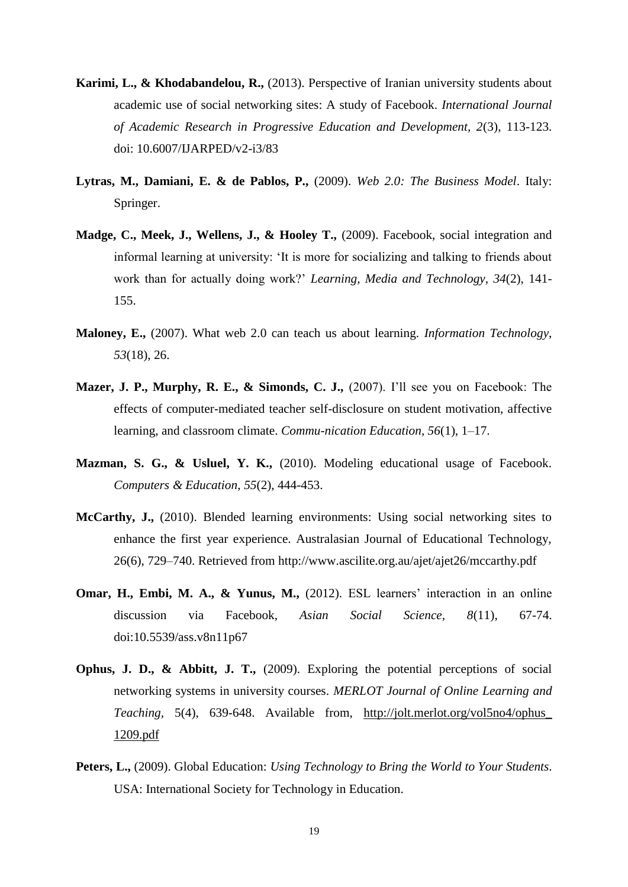- **Karimi, L., & Khodabandelou, R.,** (2013). Perspective of Iranian university students about academic use of social networking sites: A study of Facebook. *International Journal of Academic Research in Progressive Education and Development, 2*(3), 113-123. doi: 10.6007/IJARPED/v2-i3/83
- **Lytras, M., Damiani, E. & de Pablos, P.,** (2009). *Web 2.0: The Business Model*. Italy: Springer.
- **Madge, C., Meek, J., Wellens, J., & Hooley T.,** (2009). Facebook, social integration and informal learning at university: 'It is more for socializing and talking to friends about work than for actually doing work?' *Learning, Media and Technology, 34*(2), 141- 155.
- **Maloney, E.,** (2007). What web 2.0 can teach us about learning. *Information Technology*, *53*(18), 26.
- **Mazer, J. P., Murphy, R. E., & Simonds, C. J.,** (2007). I'll see you on Facebook: The effects of computer-mediated teacher self-disclosure on student motivation, affective learning, and classroom climate. *Commu-nication Education, 56*(1), 1–17.
- **Mazman, S. G., & Usluel, Y. K.,** (2010). Modeling educational usage of Facebook. *Computers & Education*, *55*(2), 444-453.
- **McCarthy, J.,** (2010). Blended learning environments: Using social networking sites to enhance the first year experience. Australasian Journal of Educational Technology, 26(6), 729–740. Retrieved from http://www.ascilite.org.au/ajet/ajet26/mccarthy.pdf
- **Omar, H., Embi, M. A., & Yunus, M.,** (2012). ESL learners' interaction in an online discussion via Facebook, *Asian Social Science, 8*(11), 67-74. doi:10.5539/ass.v8n11p67
- **Ophus, J. D., & Abbitt, J. T.,** (2009). Exploring the potential perceptions of social networking systems in university courses. *MERLOT Journal of Online Learning and Teaching,* 5(4), 639-648. Available from, [http://jolt.merlot.org/vol5no4/ophus\\_](http://jolt.merlot.org/vol5no4/ophus_%201209.pdf)  [1209.pdf](http://jolt.merlot.org/vol5no4/ophus_%201209.pdf)
- **Peters, L.,** (2009). Global Education: *Using Technology to Bring the World to Your Students*. USA: International Society for Technology in Education.